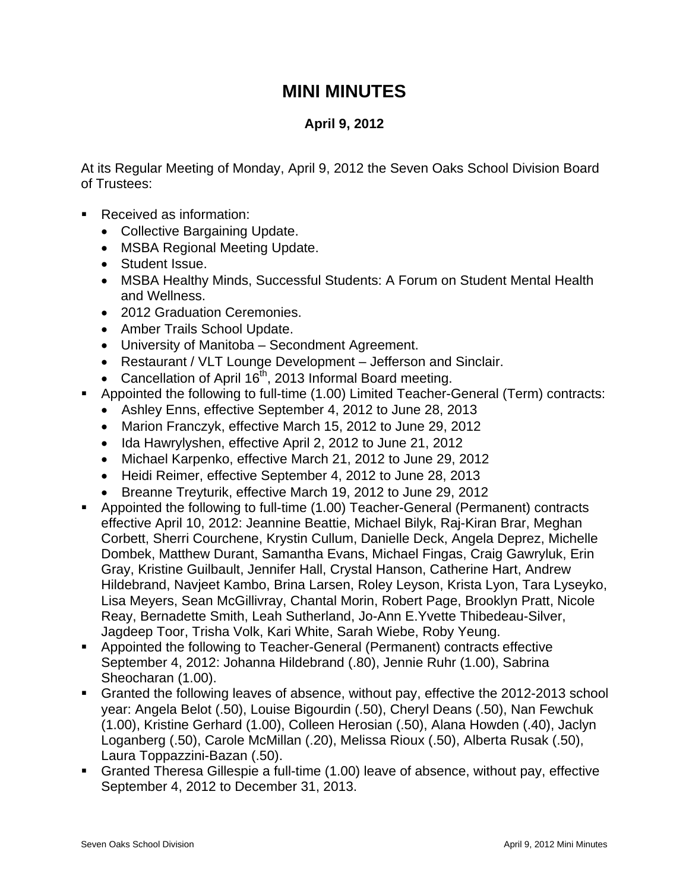## **MINI MINUTES**

## **April 9, 2012**

At its Regular Meeting of Monday, April 9, 2012 the Seven Oaks School Division Board of Trustees:

- Received as information:
	- Collective Bargaining Update.
	- MSBA Regional Meeting Update.
	- Student Issue.
	- MSBA Healthy Minds, Successful Students: A Forum on Student Mental Health and Wellness.
	- 2012 Graduation Ceremonies.
	- Amber Trails School Update.
	- University of Manitoba Secondment Agreement.
	- Restaurant / VLT Lounge Development Jefferson and Sinclair.
	- Cancellation of April  $16<sup>th</sup>$ , 2013 Informal Board meeting.
- Appointed the following to full-time (1.00) Limited Teacher-General (Term) contracts:
	- Ashley Enns, effective September 4, 2012 to June 28, 2013
	- Marion Franczyk, effective March 15, 2012 to June 29, 2012
	- Ida Hawrylyshen, effective April 2, 2012 to June 21, 2012
	- Michael Karpenko, effective March 21, 2012 to June 29, 2012
	- Heidi Reimer, effective September 4, 2012 to June 28, 2013
	- Breanne Treyturik, effective March 19, 2012 to June 29, 2012
- Appointed the following to full-time (1.00) Teacher-General (Permanent) contracts effective April 10, 2012: Jeannine Beattie, Michael Bilyk, Raj-Kiran Brar, Meghan Corbett, Sherri Courchene, Krystin Cullum, Danielle Deck, Angela Deprez, Michelle Dombek, Matthew Durant, Samantha Evans, Michael Fingas, Craig Gawryluk, Erin Gray, Kristine Guilbault, Jennifer Hall, Crystal Hanson, Catherine Hart, Andrew Hildebrand, Navjeet Kambo, Brina Larsen, Roley Leyson, Krista Lyon, Tara Lyseyko, Lisa Meyers, Sean McGillivray, Chantal Morin, Robert Page, Brooklyn Pratt, Nicole Reay, Bernadette Smith, Leah Sutherland, Jo-Ann E.Yvette Thibedeau-Silver, Jagdeep Toor, Trisha Volk, Kari White, Sarah Wiebe, Roby Yeung.
- Appointed the following to Teacher-General (Permanent) contracts effective September 4, 2012: Johanna Hildebrand (.80), Jennie Ruhr (1.00), Sabrina Sheocharan (1.00).
- Granted the following leaves of absence, without pay, effective the 2012-2013 school year: Angela Belot (.50), Louise Bigourdin (.50), Cheryl Deans (.50), Nan Fewchuk (1.00), Kristine Gerhard (1.00), Colleen Herosian (.50), Alana Howden (.40), Jaclyn Loganberg (.50), Carole McMillan (.20), Melissa Rioux (.50), Alberta Rusak (.50), Laura Toppazzini-Bazan (.50).
- Granted Theresa Gillespie a full-time (1.00) leave of absence, without pay, effective September 4, 2012 to December 31, 2013.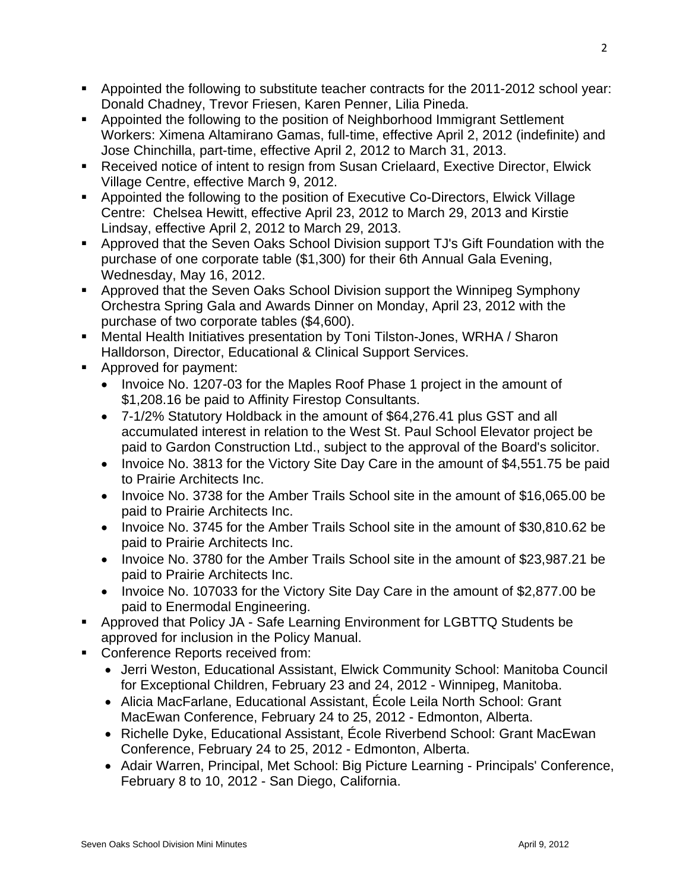- **Appointed the following to substitute teacher contracts for the 2011-2012 school year:** Donald Chadney, Trevor Friesen, Karen Penner, Lilia Pineda.
- Appointed the following to the position of Neighborhood Immigrant Settlement Workers: Ximena Altamirano Gamas, full-time, effective April 2, 2012 (indefinite) and Jose Chinchilla, part-time, effective April 2, 2012 to March 31, 2013.
- Received notice of intent to resign from Susan Crielaard, Exective Director, Elwick Village Centre, effective March 9, 2012.
- Appointed the following to the position of Executive Co-Directors, Elwick Village Centre: Chelsea Hewitt, effective April 23, 2012 to March 29, 2013 and Kirstie Lindsay, effective April 2, 2012 to March 29, 2013.
- Approved that the Seven Oaks School Division support TJ's Gift Foundation with the purchase of one corporate table (\$1,300) for their 6th Annual Gala Evening, Wednesday, May 16, 2012.
- **Approved that the Seven Oaks School Division support the Winnipeg Symphony** Orchestra Spring Gala and Awards Dinner on Monday, April 23, 2012 with the purchase of two corporate tables (\$4,600).
- Mental Health Initiatives presentation by Toni Tilston-Jones, WRHA / Sharon Halldorson, Director, Educational & Clinical Support Services.
- Approved for payment:
	- Invoice No. 1207-03 for the Maples Roof Phase 1 project in the amount of \$1,208.16 be paid to Affinity Firestop Consultants.
	- 7-1/2% Statutory Holdback in the amount of \$64,276.41 plus GST and all accumulated interest in relation to the West St. Paul School Elevator project be paid to Gardon Construction Ltd., subject to the approval of the Board's solicitor.
	- Invoice No. 3813 for the Victory Site Day Care in the amount of \$4,551.75 be paid to Prairie Architects Inc.
	- Invoice No. 3738 for the Amber Trails School site in the amount of \$16,065.00 be paid to Prairie Architects Inc.
	- Invoice No. 3745 for the Amber Trails School site in the amount of \$30,810.62 be paid to Prairie Architects Inc.
	- Invoice No. 3780 for the Amber Trails School site in the amount of \$23,987.21 be paid to Prairie Architects Inc.
	- Invoice No. 107033 for the Victory Site Day Care in the amount of \$2,877.00 be paid to Enermodal Engineering.
- Approved that Policy JA Safe Learning Environment for LGBTTQ Students be approved for inclusion in the Policy Manual.
- Conference Reports received from:
	- Jerri Weston, Educational Assistant, Elwick Community School: Manitoba Council for Exceptional Children, February 23 and 24, 2012 - Winnipeg, Manitoba.
	- Alicia MacFarlane, Educational Assistant, École Leila North School: Grant MacEwan Conference, February 24 to 25, 2012 - Edmonton, Alberta.
	- Richelle Dyke, Educational Assistant, École Riverbend School: Grant MacEwan Conference, February 24 to 25, 2012 - Edmonton, Alberta.
	- Adair Warren, Principal, Met School: Big Picture Learning Principals' Conference, February 8 to 10, 2012 - San Diego, California.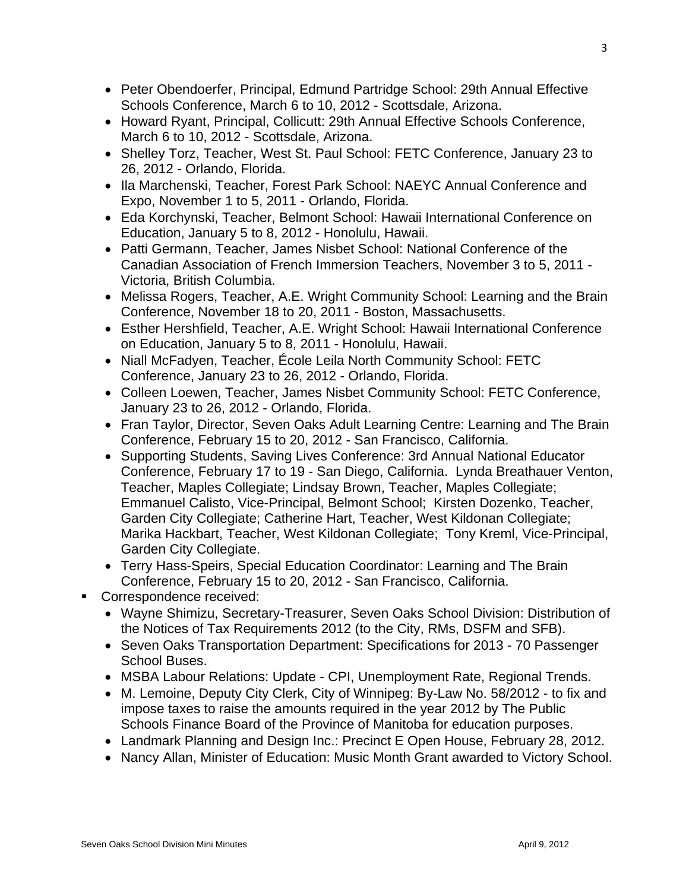- Peter Obendoerfer, Principal, Edmund Partridge School: 29th Annual Effective Schools Conference, March 6 to 10, 2012 - Scottsdale, Arizona.
- Howard Ryant, Principal, Collicutt: 29th Annual Effective Schools Conference, March 6 to 10, 2012 - Scottsdale, Arizona.
- Shelley Torz, Teacher, West St. Paul School: FETC Conference, January 23 to 26, 2012 - Orlando, Florida.
- Ila Marchenski, Teacher, Forest Park School: NAEYC Annual Conference and Expo, November 1 to 5, 2011 - Orlando, Florida.
- Eda Korchynski, Teacher, Belmont School: Hawaii International Conference on Education, January 5 to 8, 2012 - Honolulu, Hawaii.
- Patti Germann, Teacher, James Nisbet School: National Conference of the Canadian Association of French Immersion Teachers, November 3 to 5, 2011 - Victoria, British Columbia.
- Melissa Rogers, Teacher, A.E. Wright Community School: Learning and the Brain Conference, November 18 to 20, 2011 - Boston, Massachusetts.
- Esther Hershfield, Teacher, A.E. Wright School: Hawaii International Conference on Education, January 5 to 8, 2011 - Honolulu, Hawaii.
- Niall McFadyen, Teacher, École Leila North Community School: FETC Conference, January 23 to 26, 2012 - Orlando, Florida.
- Colleen Loewen, Teacher, James Nisbet Community School: FETC Conference, January 23 to 26, 2012 - Orlando, Florida.
- Fran Taylor, Director, Seven Oaks Adult Learning Centre: Learning and The Brain Conference, February 15 to 20, 2012 - San Francisco, California.
- Supporting Students, Saving Lives Conference: 3rd Annual National Educator Conference, February 17 to 19 - San Diego, California. Lynda Breathauer Venton, Teacher, Maples Collegiate; Lindsay Brown, Teacher, Maples Collegiate; Emmanuel Calisto, Vice-Principal, Belmont School; Kirsten Dozenko, Teacher, Garden City Collegiate; Catherine Hart, Teacher, West Kildonan Collegiate; Marika Hackbart, Teacher, West Kildonan Collegiate; Tony Kreml, Vice-Principal, Garden City Collegiate.
- Terry Hass-Speirs, Special Education Coordinator: Learning and The Brain Conference, February 15 to 20, 2012 - San Francisco, California.
- Correspondence received:
	- Wayne Shimizu, Secretary-Treasurer, Seven Oaks School Division: Distribution of the Notices of Tax Requirements 2012 (to the City, RMs, DSFM and SFB).
	- Seven Oaks Transportation Department: Specifications for 2013 70 Passenger School Buses.
	- MSBA Labour Relations: Update CPI, Unemployment Rate, Regional Trends.
	- M. Lemoine, Deputy City Clerk, City of Winnipeg: By-Law No. 58/2012 to fix and impose taxes to raise the amounts required in the year 2012 by The Public Schools Finance Board of the Province of Manitoba for education purposes.
	- Landmark Planning and Design Inc.: Precinct E Open House, February 28, 2012.
	- Nancy Allan, Minister of Education: Music Month Grant awarded to Victory School.